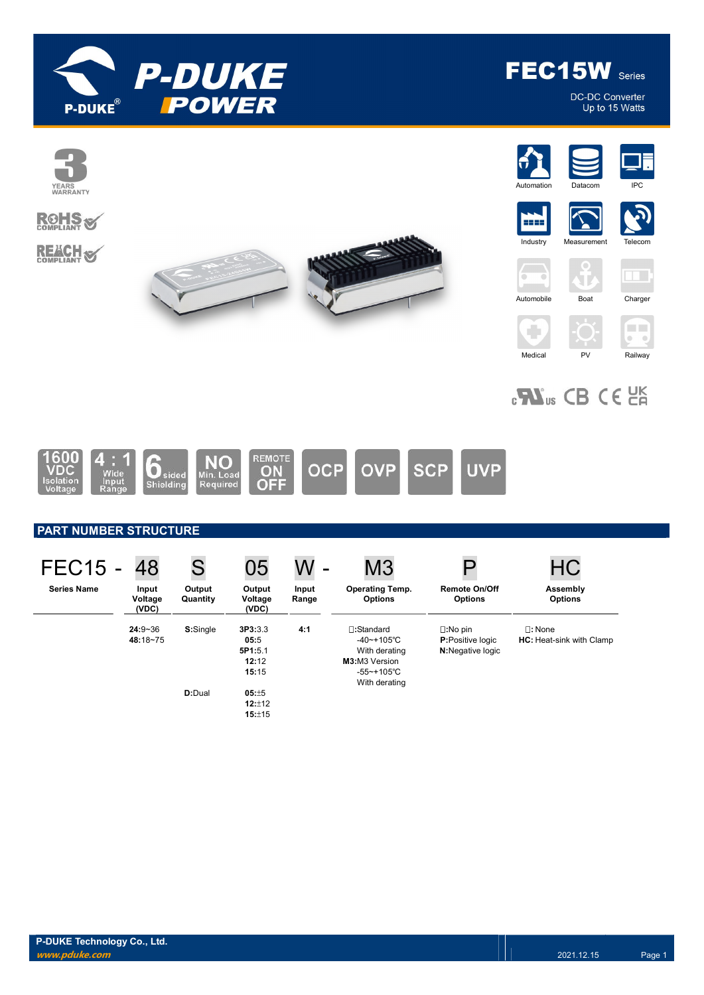

DC-DC Converter<br>Up to 15 Watts





## PART NUMBER STRUCTURE

| <b>FEC15 -</b>     | 48                        | S                  | 05                                           | W<br>$\overline{\phantom{0}}$ | M <sub>3</sub>                                                                                           |                                                                          | HC                                                  |
|--------------------|---------------------------|--------------------|----------------------------------------------|-------------------------------|----------------------------------------------------------------------------------------------------------|--------------------------------------------------------------------------|-----------------------------------------------------|
| <b>Series Name</b> | Input<br>Voltage<br>(VDC) | Output<br>Quantity | Output<br>Voltage<br>(VDC)                   | Input<br>Range                | <b>Operating Temp.</b><br><b>Options</b>                                                                 | <b>Remote On/Off</b><br><b>Options</b>                                   | Assembly<br><b>Options</b>                          |
|                    | $24:9 - 36$<br>48:18~75   | S:Single           | 3P3:3.3<br>05:5<br>5P1:5.1<br>12:12<br>15:15 | 4:1                           | $\square$ :Standard<br>$-40$ ~+105°C<br>With derating<br>M3:M3 Version<br>$-55$ ~+105°C<br>With derating | $\square:$ No pin<br><b>P:Positive logic</b><br><b>N:</b> Negative logic | $\square$ : None<br><b>HC:</b> Heat-sink with Clamp |
|                    |                           | <b>D:</b> Dual     | 05:±5<br>12:±12<br>15:±15                    |                               |                                                                                                          |                                                                          |                                                     |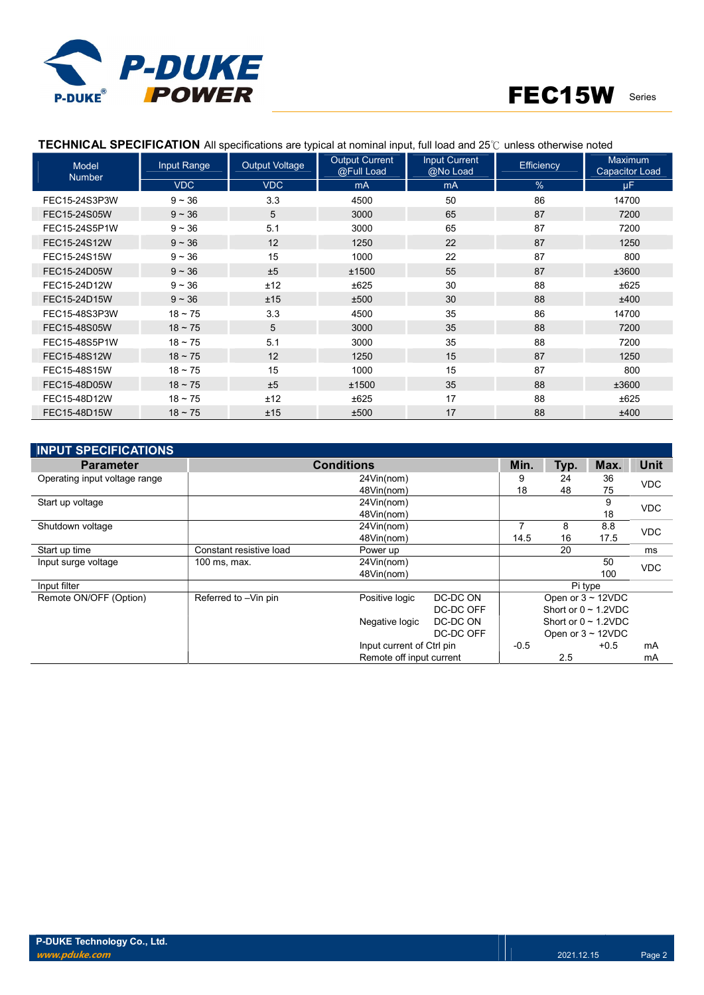

| Model<br><b>Number</b> | Input Range | <b>Output Voltage</b> | <b>Output Current</b><br>@Full Load | <b>Input Current</b><br>$@$ No Load | <b>Efficiency</b> | <b>Maximum</b><br><b>Capacitor Load</b> |
|------------------------|-------------|-----------------------|-------------------------------------|-------------------------------------|-------------------|-----------------------------------------|
|                        | <b>VDC</b>  | <b>VDC</b>            | m <sub>A</sub>                      | mA                                  | %                 | μF.                                     |
| FEC15-24S3P3W          | $9 - 36$    | 3.3                   | 4500                                | 50                                  | 86                | 14700                                   |
| FEC15-24S05W           | $9 - 36$    | 5                     | 3000                                | 65                                  | 87                | 7200                                    |
| FEC15-24S5P1W          | $9 - 36$    | 5.1                   | 3000                                | 65                                  | 87                | 7200                                    |
| FEC15-24S12W           | $9 - 36$    | 12                    | 1250                                | 22                                  | 87                | 1250                                    |
| FEC15-24S15W           | $9 - 36$    | 15                    | 1000                                | 22                                  | 87                | 800                                     |
| FEC15-24D05W           | $9 - 36$    | ±5                    | ±1500                               | 55                                  | 87                | ±3600                                   |
| FEC15-24D12W           | $9 - 36$    | ±12                   | ±625                                | 30                                  | 88                | ±625                                    |
| FEC15-24D15W           | $9 - 36$    | ±15                   | ±500                                | 30                                  | 88                | ±400                                    |
| FEC15-48S3P3W          | $18 - 75$   | 3.3                   | 4500                                | 35                                  | 86                | 14700                                   |
| FEC15-48S05W           | $18 - 75$   | 5                     | 3000                                | 35                                  | 88                | 7200                                    |
| FEC15-48S5P1W          | $18 - 75$   | 5.1                   | 3000                                | 35                                  | 88                | 7200                                    |
| FEC15-48S12W           | $18 - 75$   | 12                    | 1250                                | 15                                  | 87                | 1250                                    |
| FEC15-48S15W           | $18 - 75$   | 15                    | 1000                                | 15                                  | 87                | 800                                     |
| FEC15-48D05W           | $18 - 75$   | ±5                    | ±1500                               | 35                                  | 88                | ±3600                                   |
| FEC15-48D12W           | $18 - 75$   | ±12                   | ±625                                | 17                                  | 88                | ±625                                    |
| FEC15-48D15W           | $18 - 75$   | ±15                   | ±500                                | 17                                  | 88                | ±400                                    |

### TECHNICAL SPECIFICATION All specifications are typical at nominal input, full load and 25℃ unless otherwise noted

| <b>INPUT SPECIFICATIONS</b>   |                         |                           |           |        |                           |        |             |
|-------------------------------|-------------------------|---------------------------|-----------|--------|---------------------------|--------|-------------|
| <b>Parameter</b>              |                         | <b>Conditions</b>         |           | Min.   | Typ.                      | Max.   | <b>Unit</b> |
| Operating input voltage range |                         | 24Vin(nom)                |           | 9      | 24                        | 36     | <b>VDC</b>  |
|                               |                         | 48Vin(nom)                |           | 18     | 48                        | 75     |             |
| Start up voltage              |                         | 24Vin(nom)                |           |        |                           | 9      | <b>VDC</b>  |
|                               |                         | 48Vin(nom)                |           |        |                           | 18     |             |
| Shutdown voltage              |                         | 24Vin(nom)                |           |        | 8                         | 8.8    | <b>VDC</b>  |
|                               |                         | 48Vin(nom)                |           | 14.5   | 16                        | 17.5   |             |
| Start up time                 | Constant resistive load | Power up                  |           |        | 20                        |        | ms          |
| Input surge voltage           | 100 ms, max.            | 24Vin(nom)                |           |        |                           | 50     | <b>VDC</b>  |
|                               |                         | 48Vin(nom)                |           |        |                           | 100    |             |
| Input filter                  |                         |                           |           |        | Pi type                   |        |             |
| Remote ON/OFF (Option)        | Referred to -Vin pin    | Positive logic            | DC-DC ON  |        | Open or $3 \sim 12$ VDC   |        |             |
|                               |                         |                           | DC-DC OFF |        | Short or $0 \sim 1.2$ VDC |        |             |
|                               |                         | Negative logic            | DC-DC ON  |        | Short or $0 \sim 1.2$ VDC |        |             |
|                               |                         |                           | DC-DC OFF |        | Open or $3 \sim 12$ VDC   |        |             |
|                               |                         | Input current of Ctrl pin |           | $-0.5$ |                           | $+0.5$ | mA          |
|                               |                         | Remote off input current  |           |        | 2.5                       |        | mA          |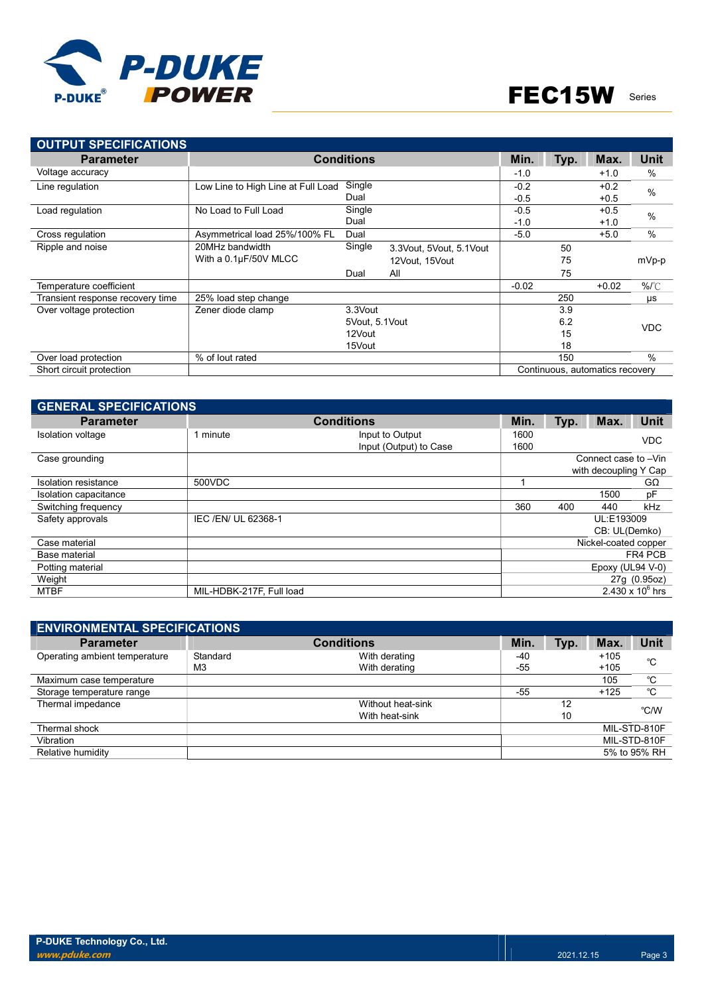

| <b>OUTPUT SPECIFICATIONS</b>     |                                    |                   |     |                         |         |      |                                 |               |
|----------------------------------|------------------------------------|-------------------|-----|-------------------------|---------|------|---------------------------------|---------------|
| <b>Parameter</b>                 |                                    | <b>Conditions</b> |     |                         | Min.    | Typ. | Max.                            | <b>Unit</b>   |
| Voltage accuracy                 |                                    |                   |     |                         | $-1.0$  |      | $+1.0$                          | $\%$          |
| Line regulation                  | Low Line to High Line at Full Load | Single            |     |                         | $-0.2$  |      | $+0.2$                          | $\frac{0}{0}$ |
|                                  |                                    | Dual              |     |                         | $-0.5$  |      | $+0.5$                          |               |
| Load regulation                  | No Load to Full Load               | Single            |     |                         | $-0.5$  |      | $+0.5$                          | $\frac{0}{0}$ |
|                                  |                                    | Dual              |     |                         | $-1.0$  |      | $+1.0$                          |               |
| Cross regulation                 | Asymmetrical load 25%/100% FL      | Dual              |     |                         | $-5.0$  |      | $+5.0$                          | $\%$          |
| Ripple and noise                 | 20MHz bandwidth                    | Single            |     | 3.3Vout, 5Vout, 5.1Vout |         | 50   |                                 |               |
|                                  | With a 0.1µF/50V MLCC              |                   |     | 12Vout, 15Vout          |         | 75   |                                 | mVp-p         |
|                                  |                                    | Dual              | All |                         |         | 75   |                                 |               |
| Temperature coefficient          |                                    |                   |     |                         | $-0.02$ |      | $+0.02$                         | $%^{\circ}C$  |
| Transient response recovery time | 25% load step change               |                   |     |                         |         | 250  |                                 | $\mu s$       |
| Over voltage protection          | Zener diode clamp                  | 3.3Vout           |     |                         |         | 3.9  |                                 |               |
|                                  |                                    | 5Vout, 5.1Vout    |     |                         |         | 6.2  |                                 | <b>VDC</b>    |
|                                  |                                    | 12Vout            |     |                         |         | 15   |                                 |               |
|                                  |                                    | 15Vout            |     |                         |         | 18   |                                 |               |
| Over load protection             | % of lout rated                    |                   |     |                         |         | 150  |                                 | $\frac{0}{0}$ |
| Short circuit protection         |                                    |                   |     |                         |         |      | Continuous, automatics recovery |               |

| <b>GENERAL SPECIFICATIONS</b> |                          |                                           |              |      |                       |                    |
|-------------------------------|--------------------------|-------------------------------------------|--------------|------|-----------------------|--------------------|
| <b>Parameter</b>              |                          | <b>Conditions</b>                         | Min.         | Typ. | Max.                  | <b>Unit</b>        |
| Isolation voltage             | 1 minute                 | Input to Output<br>Input (Output) to Case | 1600<br>1600 |      |                       | <b>VDC</b>         |
| Case grounding                |                          |                                           |              |      | Connect case to -Vin  |                    |
|                               |                          |                                           |              |      | with decoupling Y Cap |                    |
| Isolation resistance          | 500VDC                   |                                           |              |      |                       | GΩ                 |
| Isolation capacitance         |                          |                                           |              |      | 1500                  | pF                 |
| Switching frequency           |                          |                                           | 360          | 400  | 440                   | kHz                |
| Safety approvals              | IEC /EN/ UL 62368-1      |                                           |              |      | UL:E193009            |                    |
|                               |                          |                                           |              |      | CB: UL(Demko)         |                    |
| Case material                 |                          |                                           |              |      | Nickel-coated copper  |                    |
| Base material                 |                          |                                           |              |      |                       | FR4 PCB            |
| Potting material              |                          |                                           |              |      | Epoxy (UL94 V-0)      |                    |
| Weight                        |                          |                                           |              |      |                       | 27g (0.95oz)       |
| <b>MTBF</b>                   | MIL-HDBK-217F, Full load |                                           |              |      |                       | 2.430 x $10^6$ hrs |

| <b>ENVIRONMENTAL SPECIFICATIONS</b> |                |                   |       |      |        |              |
|-------------------------------------|----------------|-------------------|-------|------|--------|--------------|
| <b>Parameter</b>                    |                | <b>Conditions</b> | Min.  | Typ. | Max.   | <b>Unit</b>  |
| Operating ambient temperature       | Standard       | With derating     | $-40$ |      | $+105$ | °C           |
|                                     | M <sub>3</sub> | With derating     | $-55$ |      | $+105$ |              |
| Maximum case temperature            |                |                   |       |      | 105    | °C           |
| Storage temperature range           |                |                   | $-55$ |      | $+125$ | °C           |
| Thermal impedance                   |                | Without heat-sink |       | 12   |        | °C/W         |
|                                     |                | With heat-sink    |       | 10   |        |              |
| Thermal shock                       |                |                   |       |      |        | MIL-STD-810F |
| Vibration                           |                |                   |       |      |        | MIL-STD-810F |
| Relative humidity                   |                |                   |       |      |        | 5% to 95% RH |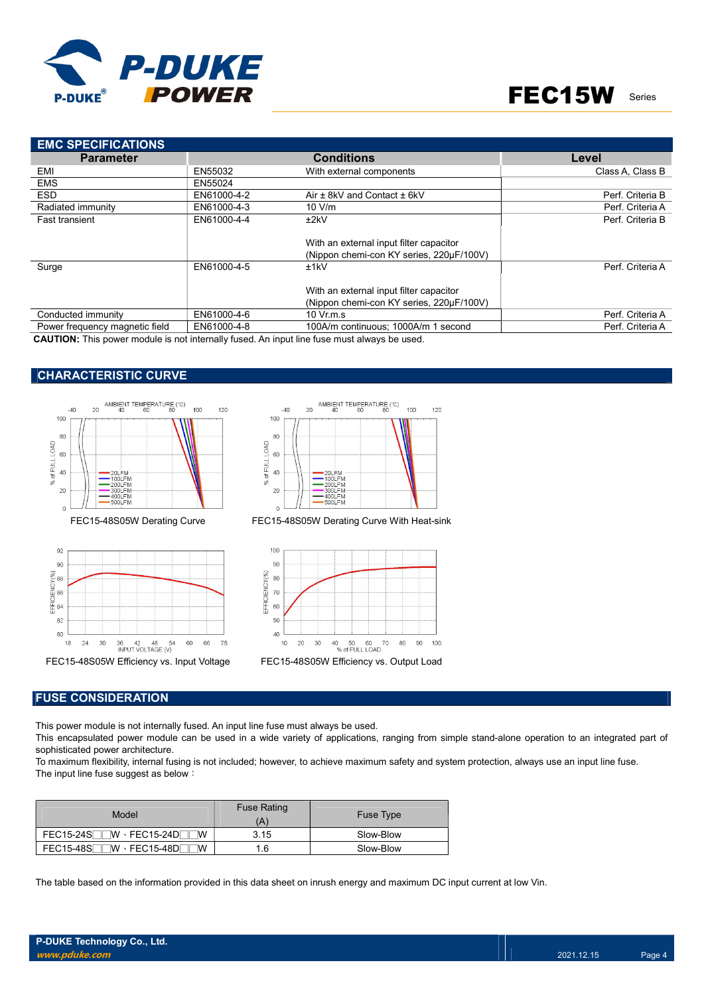

| <b>EMC SPECIFICATIONS</b>      |             |                                          |                  |
|--------------------------------|-------------|------------------------------------------|------------------|
| <b>Parameter</b>               |             | <b>Conditions</b>                        | Level            |
| EMI                            | EN55032     | With external components                 | Class A. Class B |
| <b>EMS</b>                     | EN55024     |                                          |                  |
| <b>ESD</b>                     | EN61000-4-2 | Air $\pm$ 8kV and Contact $\pm$ 6kV      | Perf. Criteria B |
| Radiated immunity              | EN61000-4-3 | 10 V/m                                   | Perf. Criteria A |
| <b>Fast transient</b>          | EN61000-4-4 | ±2kV                                     | Perf. Criteria B |
|                                |             |                                          |                  |
|                                |             | With an external input filter capacitor  |                  |
|                                |             | (Nippon chemi-con KY series, 220µF/100V) |                  |
| Surge                          | EN61000-4-5 | ±1kV                                     | Perf. Criteria A |
|                                |             | With an external input filter capacitor  |                  |
|                                |             | (Nippon chemi-con KY series, 220µF/100V) |                  |
| Conducted immunity             | EN61000-4-6 | 10 Vr.m.s                                | Perf. Criteria A |
| Power frequency magnetic field | EN61000-4-8 | 100A/m continuous: 1000A/m 1 second      | Perf. Criteria A |

CAUTION: This power module is not internally fused. An input line fuse must always be used.

### CHARACTERISTIC CURVE







FEC15-48S05W Derating Curve FEC15-48S05W Derating Curve With Heat-sink



#### FUSE CONSIDERATION

This power module is not internally fused. An input line fuse must always be used.

This encapsulated power module can be used in a wide variety of applications, ranging from simple stand-alone operation to an integrated part of sophisticated power architecture.

To maximum flexibility, internal fusing is not included; however, to achieve maximum safety and system protection, always use an input line fuse. The input line fuse suggest as below:

| Model                                       | <b>Fuse Rating</b><br>'A | <b>Fuse Type</b> |
|---------------------------------------------|--------------------------|------------------|
| $FEC15-24S$ W $\cdot$ FEC15-24D<br><b>W</b> | 3.15                     | Slow-Blow        |
| $FEC15-48S$ W $\cdot$ FEC15-48D<br><b>W</b> | 1.6                      | Slow-Blow        |

The table based on the information provided in this data sheet on inrush energy and maximum DC input current at low Vin.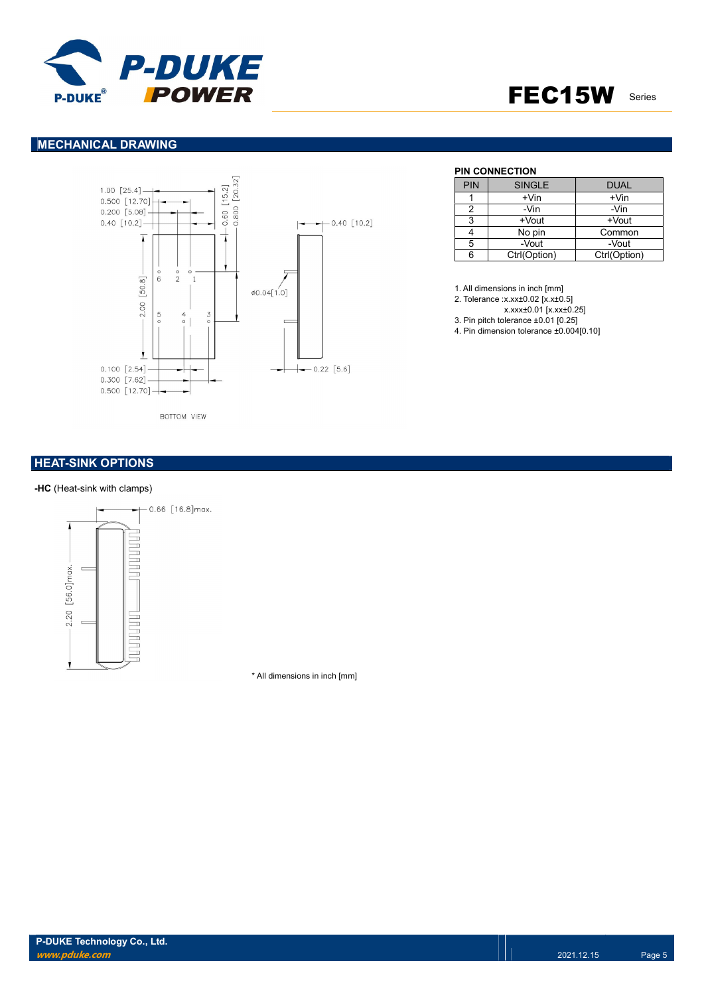

### MECHANICAL DRAWING



**BOTTOM VIEW** 

### **HEAT-SINK OPTIONS**

#### -HC (Heat-sink with clamps)



\* All dimensions in inch [mm]

#### PIN CONNECTION

| <b>PIN</b> | <b>SINGLE</b> | <b>DUAL</b>  |
|------------|---------------|--------------|
|            | $+V$ in       | $+V$ in      |
|            | -Vin          | -Vin         |
| 3          | +Vout         | +Vout        |
|            | No pin        | Common       |
| 5          | -Vout         | -Vout        |
| 6          | Ctrl(Option)  | Ctrl(Option) |

1. All dimensions in inch [mm]

2. Tolerance :x.xx±0.02 [x.x±0.5]

x.xxx±0.01 [x.xx±0.25]

3. Pin pitch tolerance ±0.01 [0.25]

4. Pin dimension tolerance ±0.004[0.10]